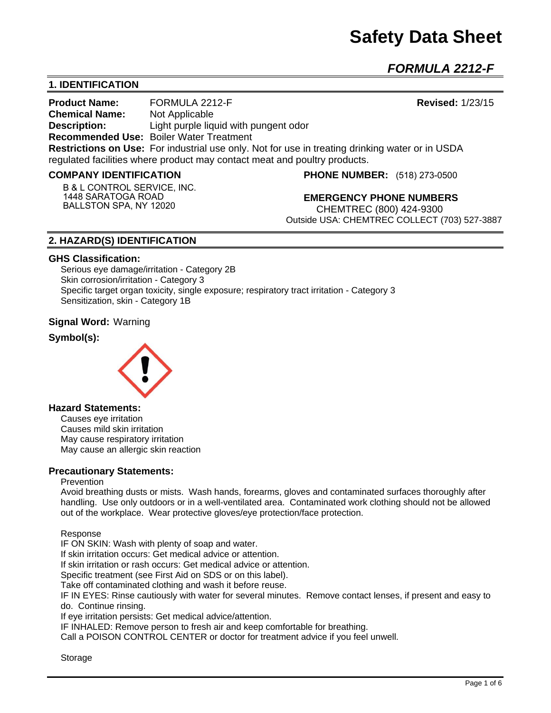## **Safety Data Sheet**

*FORMULA 2212-F* 

## **1. IDENTIFICATION**

**Product Name:** FORMULA 2212-F **Revised:** 1/23/15 **Chemical Name:** Not Applicable **Description:** Light purple liquid with pungent odor **Recommended Use:** Boiler Water Treatment **Restrictions on Use:** For industrial use only. Not for use in treating drinking water or in USDA regulated facilities where product may contact meat and poultry products.

#### **COMPANY IDENTIFICATION**

**B & L CONTROL SERVICE, INC. 1448 SARATOGA ROAD BALLSTON SPA, NY 12020**

**PHONE NUMBER:** (518) 273-0500

**EMERGENCY PHONE NUMBERS** CHEMTREC (800) 424-9300 Outside USA: CHEMTREC COLLECT (703) 527-3887

## **2. HAZARD(S) IDENTIFICATION**

#### **GHS Classification:**

Serious eye damage/irritation - Category 2B Skin corrosion/irritation - Category 3 Specific target organ toxicity, single exposure; respiratory tract irritation - Category 3 Sensitization, skin - Category 1B

#### **Signal Word:** Warning

## **Symbol(s):**



## **Hazard Statements:**

Causes eye irritation Causes mild skin irritation May cause respiratory irritation May cause an allergic skin reaction

#### **Precautionary Statements:**

#### Prevention

Avoid breathing dusts or mists. Wash hands, forearms, gloves and contaminated surfaces thoroughly after handling. Use only outdoors or in a well-ventilated area. Contaminated work clothing should not be allowed out of the workplace. Wear protective gloves/eye protection/face protection.

Response

IF ON SKIN: Wash with plenty of soap and water.

If skin irritation occurs: Get medical advice or attention.

If skin irritation or rash occurs: Get medical advice or attention.

Specific treatment (see First Aid on SDS or on this label).

Take off contaminated clothing and wash it before reuse.

IF IN EYES: Rinse cautiously with water for several minutes. Remove contact lenses, if present and easy to do. Continue rinsing.

If eye irritation persists: Get medical advice/attention.

IF INHALED: Remove person to fresh air and keep comfortable for breathing.

Call a POISON CONTROL CENTER or doctor for treatment advice if you feel unwell.

Storage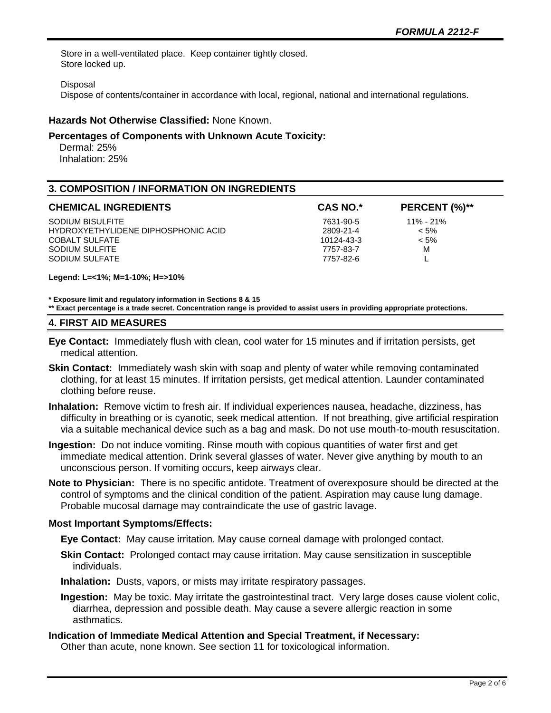Store in a well-ventilated place. Keep container tightly closed. Store locked up.

#### Disposal

Dispose of contents/container in accordance with local, regional, national and international regulations.

## **Hazards Not Otherwise Classified:** None Known.

## **Percentages of Components with Unknown Acute Toxicity:**

 Dermal: 25% Inhalation: 25%

## **3. COMPOSITION / INFORMATION ON INGREDIENTS**

| <b>CHEMICAL INGREDIENTS</b>         | <b>CAS NO.*</b> | PERCENT (%)** |
|-------------------------------------|-----------------|---------------|
| SODIUM BISULFITE                    | 7631-90-5       | $11\% - 21\%$ |
| HYDROXYETHYLIDENE DIPHOSPHONIC ACID | 2809-21-4       | $< 5\%$       |
| <b>COBALT SULFATE</b>               | 10124-43-3      | $< 5\%$       |
| SODIUM SULFITE                      | 7757-83-7       | м             |
| SODIUM SULFATE                      | 7757-82-6       |               |

**Legend: L=<1%; M=1-10%; H=>10%**

**\* Exposure limit and regulatory information in Sections 8 & 15**

**\*\* Exact percentage is a trade secret. Concentration range is provided to assist users in providing appropriate protections.**

#### **4. FIRST AID MEASURES**

- **Eye Contact:** Immediately flush with clean, cool water for 15 minutes and if irritation persists, get medical attention.
- **Skin Contact:** Immediately wash skin with soap and plenty of water while removing contaminated clothing, for at least 15 minutes. If irritation persists, get medical attention. Launder contaminated clothing before reuse.
- **Inhalation:** Remove victim to fresh air. If individual experiences nausea, headache, dizziness, has difficulty in breathing or is cyanotic, seek medical attention. If not breathing, give artificial respiration via a suitable mechanical device such as a bag and mask. Do not use mouth-to-mouth resuscitation.
- **Ingestion:** Do not induce vomiting. Rinse mouth with copious quantities of water first and get immediate medical attention. Drink several glasses of water. Never give anything by mouth to an unconscious person. If vomiting occurs, keep airways clear.
- **Note to Physician:** There is no specific antidote. Treatment of overexposure should be directed at the control of symptoms and the clinical condition of the patient. Aspiration may cause lung damage. Probable mucosal damage may contraindicate the use of gastric lavage.

## **Most Important Symptoms/Effects:**

**Eye Contact:** May cause irritation. May cause corneal damage with prolonged contact.

**Skin Contact:** Prolonged contact may cause irritation. May cause sensitization in susceptible individuals.

**Inhalation:** Dusts, vapors, or mists may irritate respiratory passages.

**Ingestion:** May be toxic. May irritate the gastrointestinal tract. Very large doses cause violent colic, diarrhea, depression and possible death. May cause a severe allergic reaction in some asthmatics.

## **Indication of Immediate Medical Attention and Special Treatment, if Necessary:**

Other than acute, none known. See section 11 for toxicological information.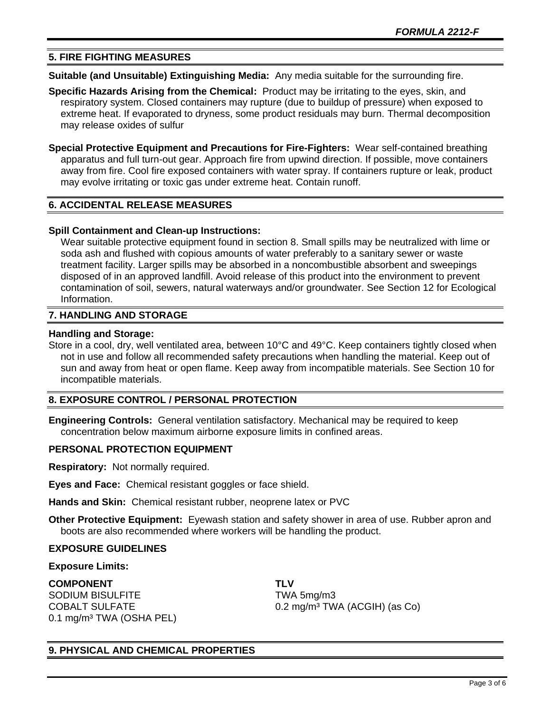## **5. FIRE FIGHTING MEASURES**

**Suitable (and Unsuitable) Extinguishing Media:** Any media suitable for the surrounding fire.

**Specific Hazards Arising from the Chemical:** Product may be irritating to the eyes, skin, and respiratory system. Closed containers may rupture (due to buildup of pressure) when exposed to extreme heat. If evaporated to dryness, some product residuals may burn. Thermal decomposition may release oxides of sulfur

**Special Protective Equipment and Precautions for Fire-Fighters:** Wear self-contained breathing apparatus and full turn-out gear. Approach fire from upwind direction. If possible, move containers away from fire. Cool fire exposed containers with water spray. If containers rupture or leak, product may evolve irritating or toxic gas under extreme heat. Contain runoff.

## **6. ACCIDENTAL RELEASE MEASURES**

#### **Spill Containment and Clean-up Instructions:**

Wear suitable protective equipment found in section 8. Small spills may be neutralized with lime or soda ash and flushed with copious amounts of water preferably to a sanitary sewer or waste treatment facility. Larger spills may be absorbed in a noncombustible absorbent and sweepings disposed of in an approved landfill. Avoid release of this product into the environment to prevent contamination of soil, sewers, natural waterways and/or groundwater. See Section 12 for Ecological Information.

#### **7. HANDLING AND STORAGE**

#### **Handling and Storage:**

Store in a cool, dry, well ventilated area, between 10°C and 49°C. Keep containers tightly closed when not in use and follow all recommended safety precautions when handling the material. Keep out of sun and away from heat or open flame. Keep away from incompatible materials. See Section 10 for incompatible materials.

## **8. EXPOSURE CONTROL / PERSONAL PROTECTION**

**Engineering Controls:** General ventilation satisfactory. Mechanical may be required to keep concentration below maximum airborne exposure limits in confined areas.

#### **PERSONAL PROTECTION EQUIPMENT**

**Respiratory:** Not normally required.

**Eyes and Face:** Chemical resistant goggles or face shield.

**Hands and Skin:** Chemical resistant rubber, neoprene latex or PVC

**Other Protective Equipment:** Eyewash station and safety shower in area of use. Rubber apron and boots are also recommended where workers will be handling the product.

#### **EXPOSURE GUIDELINES**

#### **Exposure Limits:**

**COMPONENT TLV** SODIUM BISULFITE TWA 5mg/m3 0.1 mg/m<sup>3</sup> TWA (OSHA PEL)

COBALT SULFATE 0.2 mg/m³ TWA (ACGIH) (as Co)

## **9. PHYSICAL AND CHEMICAL PROPERTIES**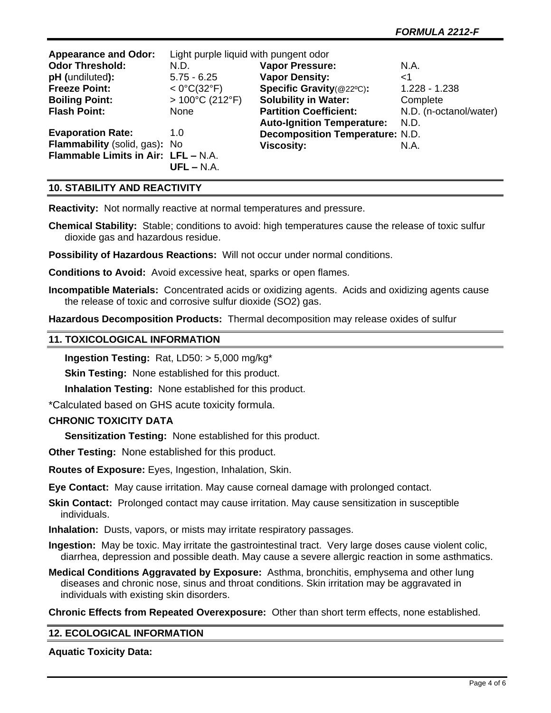| <b>Appearance and Odor:</b>         | Light purple liquid with pungent odor |                                        |                        |
|-------------------------------------|---------------------------------------|----------------------------------------|------------------------|
| <b>Odor Threshold:</b>              | N.D.                                  | <b>Vapor Pressure:</b>                 | N.A.                   |
| pH (undiluted):                     | $5.75 - 6.25$                         | <b>Vapor Density:</b>                  | $<$ 1                  |
| <b>Freeze Point:</b>                | $< 0^{\circ}C(32^{\circ}F)$           | Specific Gravity(@22°C):               | $1.228 - 1.238$        |
| <b>Boiling Point:</b>               | $>100^{\circ}$ C (212 $^{\circ}$ F)   | <b>Solubility in Water:</b>            | Complete               |
| <b>Flash Point:</b>                 | None                                  | <b>Partition Coefficient:</b>          | N.D. (n-octanol/water) |
|                                     |                                       | <b>Auto-Ignition Temperature:</b>      | N.D.                   |
| <b>Evaporation Rate:</b>            | 1.0                                   | <b>Decomposition Temperature: N.D.</b> |                        |
| Flammability (solid, gas): No       |                                       | <b>Viscosity:</b>                      | N.A.                   |
| Flammable Limits in Air: LFL - N.A. |                                       |                                        |                        |
|                                     | $UFL - N.A.$                          |                                        |                        |

## **10. STABILITY AND REACTIVITY**

**Reactivity:** Not normally reactive at normal temperatures and pressure.

**Chemical Stability:** Stable; conditions to avoid: high temperatures cause the release of toxic sulfur dioxide gas and hazardous residue.

**Possibility of Hazardous Reactions:** Will not occur under normal conditions.

**Conditions to Avoid:** Avoid excessive heat, sparks or open flames.

**Incompatible Materials:** Concentrated acids or oxidizing agents. Acids and oxidizing agents cause the release of toxic and corrosive sulfur dioxide (SO2) gas.

**Hazardous Decomposition Products:** Thermal decomposition may release oxides of sulfur

## **11. TOXICOLOGICAL INFORMATION**

**Ingestion Testing:** Rat, LD50: > 5,000 mg/kg\*

**Skin Testing: None established for this product.** 

**Inhalation Testing:** None established for this product.

\*Calculated based on GHS acute toxicity formula.

## **CHRONIC TOXICITY DATA**

**Sensitization Testing:** None established for this product.

**Other Testing:** None established for this product.

**Routes of Exposure:** Eyes, Ingestion, Inhalation, Skin.

**Eye Contact:** May cause irritation. May cause corneal damage with prolonged contact.

**Skin Contact:** Prolonged contact may cause irritation. May cause sensitization in susceptible individuals.

**Inhalation:** Dusts, vapors, or mists may irritate respiratory passages.

**Ingestion:** May be toxic. May irritate the gastrointestinal tract. Very large doses cause violent colic, diarrhea, depression and possible death. May cause a severe allergic reaction in some asthmatics.

**Medical Conditions Aggravated by Exposure:** Asthma, bronchitis, emphysema and other lung diseases and chronic nose, sinus and throat conditions. Skin irritation may be aggravated in individuals with existing skin disorders.

**Chronic Effects from Repeated Overexposure:** Other than short term effects, none established.

## **12. ECOLOGICAL INFORMATION**

## **Aquatic Toxicity Data:**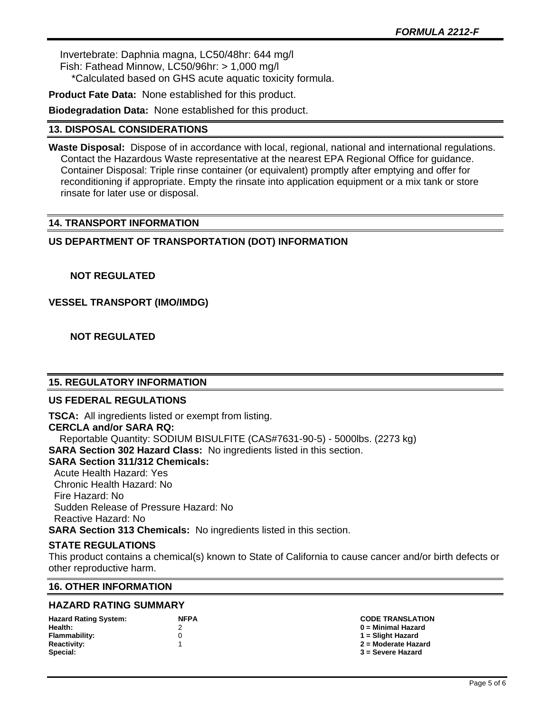Invertebrate: Daphnia magna, LC50/48hr: 644 mg/l Fish: Fathead Minnow, LC50/96hr: > 1,000 mg/l \*Calculated based on GHS acute aquatic toxicity formula.

**Product Fate Data:** None established for this product.

**Biodegradation Data:** None established for this product.

## **13. DISPOSAL CONSIDERATIONS**

**Waste Disposal:** Dispose of in accordance with local, regional, national and international regulations. Contact the Hazardous Waste representative at the nearest EPA Regional Office for guidance. Container Disposal: Triple rinse container (or equivalent) promptly after emptying and offer for reconditioning if appropriate. Empty the rinsate into application equipment or a mix tank or store rinsate for later use or disposal.

## **14. TRANSPORT INFORMATION**

## **US DEPARTMENT OF TRANSPORTATION (DOT) INFORMATION**

 **NOT REGULATED**

**VESSEL TRANSPORT (IMO/IMDG)**

 **NOT REGULATED**

## **15. REGULATORY INFORMATION**

## **US FEDERAL REGULATIONS**

**TSCA:** All ingredients listed or exempt from listing. **CERCLA and/or SARA RQ:**  Reportable Quantity: SODIUM BISULFITE (CAS#7631-90-5) - 5000lbs. (2273 kg) **SARA Section 302 Hazard Class:** No ingredients listed in this section. **SARA Section 311/312 Chemicals:**  Acute Health Hazard: Yes Chronic Health Hazard: No Fire Hazard: No Sudden Release of Pressure Hazard: No Reactive Hazard: No **SARA Section 313 Chemicals:** No ingredients listed in this section.

## **STATE REGULATIONS**

This product contains a chemical(s) known to State of California to cause cancer and/or birth defects or other reproductive harm.

## **16. OTHER INFORMATION**

## **HAZARD RATING SUMMARY**

| <b>Hazard Rating System:</b> | <b>NFPA</b> |
|------------------------------|-------------|
| Health:                      |             |
| <b>Flammability:</b>         | O           |
| <b>Reactivity:</b>           | 1           |
| Special:                     |             |

#### **Hazard Rating System: NFPA CODE TRANSLATION Health:** 2 **0 = Minimal Hazard**

**Flammability:** 0 **1 = Slight Hazard Reactivity:** 1 **2 = Moderate Hazard**

**Special: 3 = Severe Hazard**